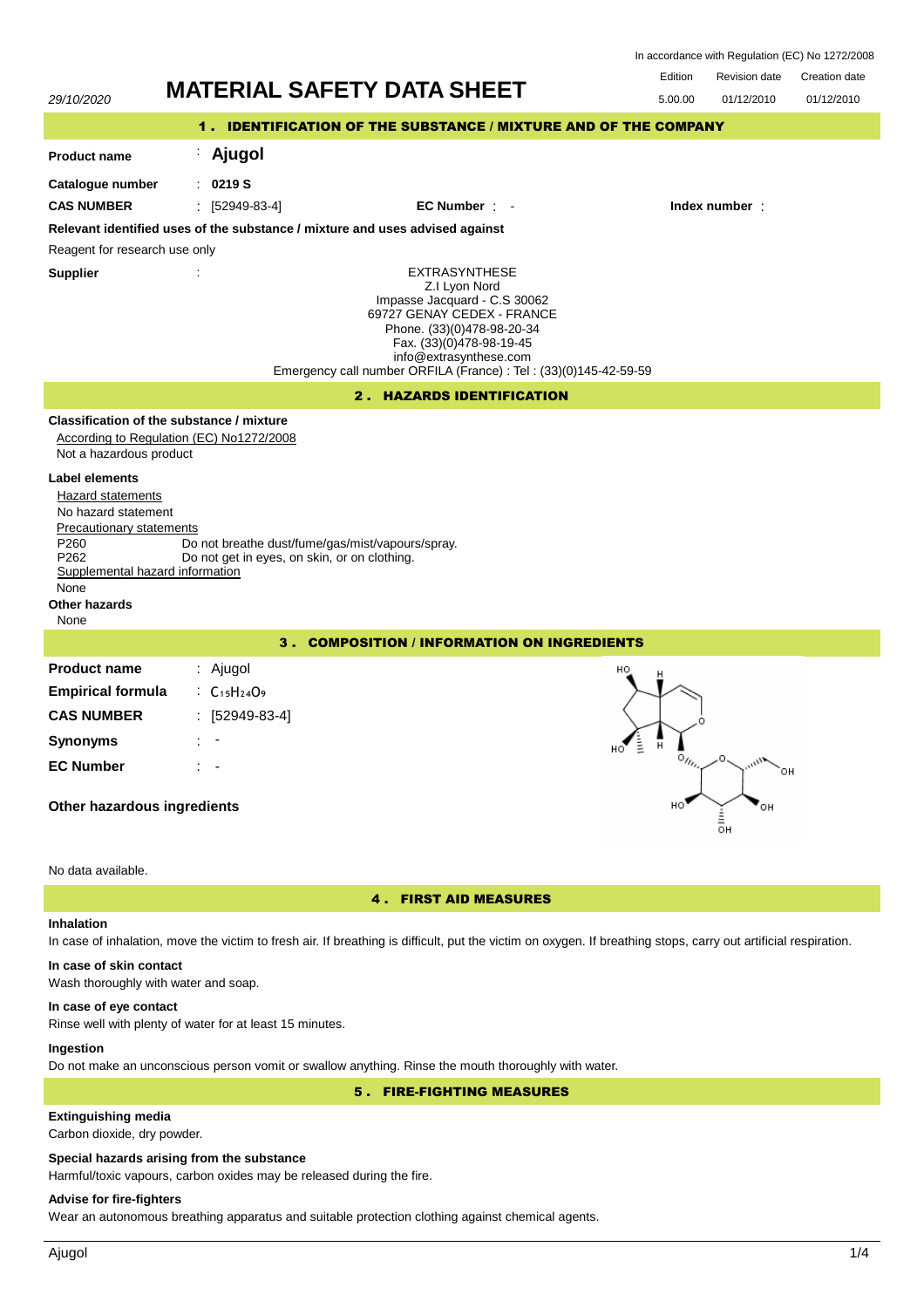| In accordance with Regulation (EC) No 1272/2008 |  |  |
|-------------------------------------------------|--|--|
|-------------------------------------------------|--|--|



#### **In case of eye contact**

Rinse well with plenty of water for at least 15 minutes.

## **Ingestion**

Do not make an unconscious person vomit or swallow anything. Rinse the mouth thoroughly with water.

5 . FIRE-FIGHTING MEASURES

# **Extinguishing media**

Carbon dioxide, dry powder.

#### **Special hazards arising from the substance**

Harmful/toxic vapours, carbon oxides may be released during the fire.

# **Advise for fire-fighters**

Wear an autonomous breathing apparatus and suitable protection clothing against chemical agents.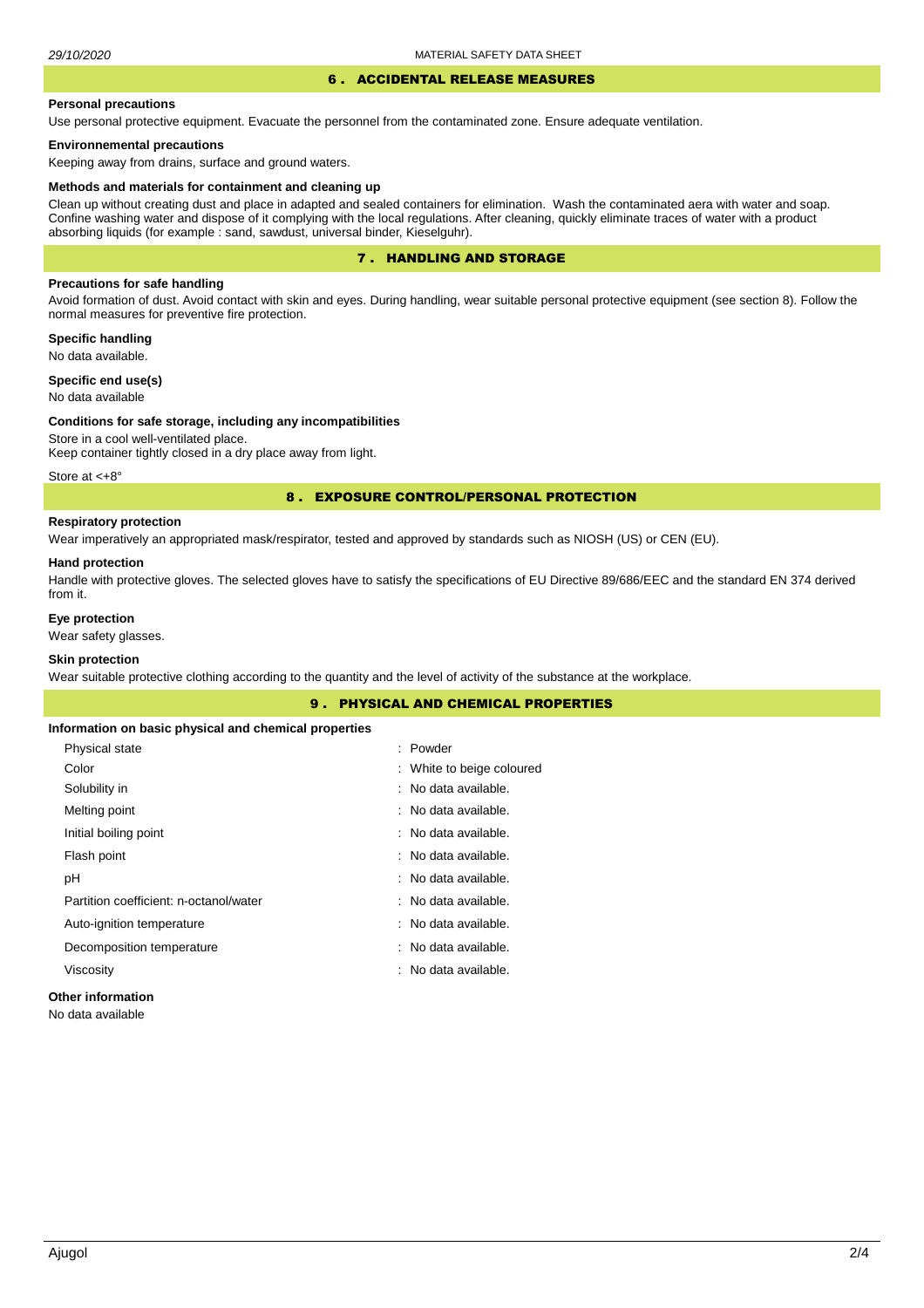#### 6 . ACCIDENTAL RELEASE MEASURES

#### **Personal precautions**

Use personal protective equipment. Evacuate the personnel from the contaminated zone. Ensure adequate ventilation.

### **Environnemental precautions**

Keeping away from drains, surface and ground waters.

#### **Methods and materials for containment and cleaning up**

Clean up without creating dust and place in adapted and sealed containers for elimination. Wash the contaminated aera with water and soap. Confine washing water and dispose of it complying with the local regulations. After cleaning, quickly eliminate traces of water with a product absorbing liquids (for example : sand, sawdust, universal binder, Kieselguhr).

## 7 . HANDLING AND STORAGE

## **Precautions for safe handling**

Avoid formation of dust. Avoid contact with skin and eyes. During handling, wear suitable personal protective equipment (see section 8). Follow the normal measures for preventive fire protection.

**Specific handling** No data available.

**Specific end use(s)**

No data available

#### **Conditions for safe storage, including any incompatibilities**

Store in a cool well-ventilated place. Keep container tightly closed in a dry place away from light.

Store at  $< +8^{\circ}$ 

### 8 . EXPOSURE CONTROL/PERSONAL PROTECTION

## **Respiratory protection**

Wear imperatively an appropriated mask/respirator, tested and approved by standards such as NIOSH (US) or CEN (EU).

#### **Hand protection**

Handle with protective gloves. The selected gloves have to satisfy the specifications of EU Directive 89/686/EEC and the standard EN 374 derived from it.

## **Eye protection**

Wear safety glasses.

## **Skin protection**

Wear suitable protective clothing according to the quantity and the level of activity of the substance at the workplace.

| <b>9. PHYSICAL AND CHEMICAL PROPERTIES</b>            |                           |  |  |
|-------------------------------------------------------|---------------------------|--|--|
| Information on basic physical and chemical properties |                           |  |  |
| Physical state                                        | : Powder                  |  |  |
| Color                                                 | : White to beige coloured |  |  |
| Solubility in                                         | : No data available.      |  |  |
| Melting point                                         | : No data available.      |  |  |
| Initial boiling point                                 | : No data available.      |  |  |
| Flash point                                           | : No data available.      |  |  |
| рH                                                    | : No data available.      |  |  |
| Partition coefficient: n-octanol/water                | : No data available.      |  |  |
| Auto-ignition temperature                             | : No data available.      |  |  |
| Decomposition temperature                             | : No data available.      |  |  |
| Viscosity                                             | : No data available.      |  |  |
|                                                       |                           |  |  |

## **Other information**

No data available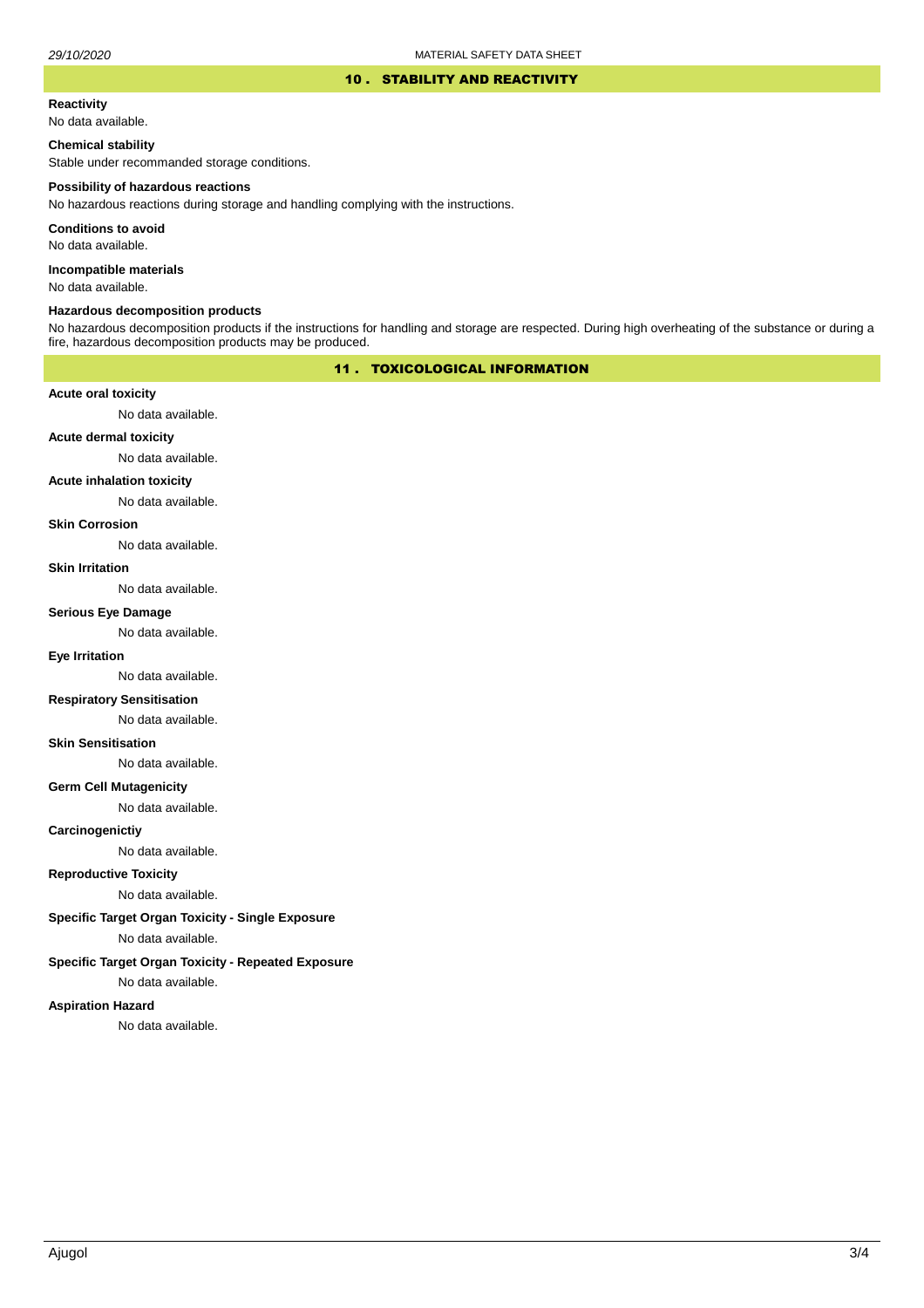#### 10 . STABILITY AND REACTIVITY

#### **Reactivity**

No data available.

### **Chemical stability**

Stable under recommanded storage conditions.

#### **Possibility of hazardous reactions**

No hazardous reactions during storage and handling complying with the instructions.

**Conditions to avoid**

No data available.

**Incompatible materials**

No data available.

#### **Hazardous decomposition products**

No hazardous decomposition products if the instructions for handling and storage are respected. During high overheating of the substance or during a fire, hazardous decomposition products may be produced.

# 11 . TOXICOLOGICAL INFORMATION

### **Acute oral toxicity**

No data available.

# **Acute dermal toxicity**

No data available.

### **Acute inhalation toxicity**

No data available.

### **Skin Corrosion**

No data available.

#### **Skin Irritation**

No data available.

# **Serious Eye Damage**

No data available.

# **Eye Irritation**

No data available.

### **Respiratory Sensitisation**

No data available.

#### **Skin Sensitisation**

No data available.

### **Germ Cell Mutagenicity**

No data available.

### **Carcinogenictiy**

No data available.

# **Reproductive Toxicity**

No data available.

# **Specific Target Organ Toxicity - Single Exposure**

No data available.

### **Specific Target Organ Toxicity - Repeated Exposure**

No data available.

#### **Aspiration Hazard**

No data available.